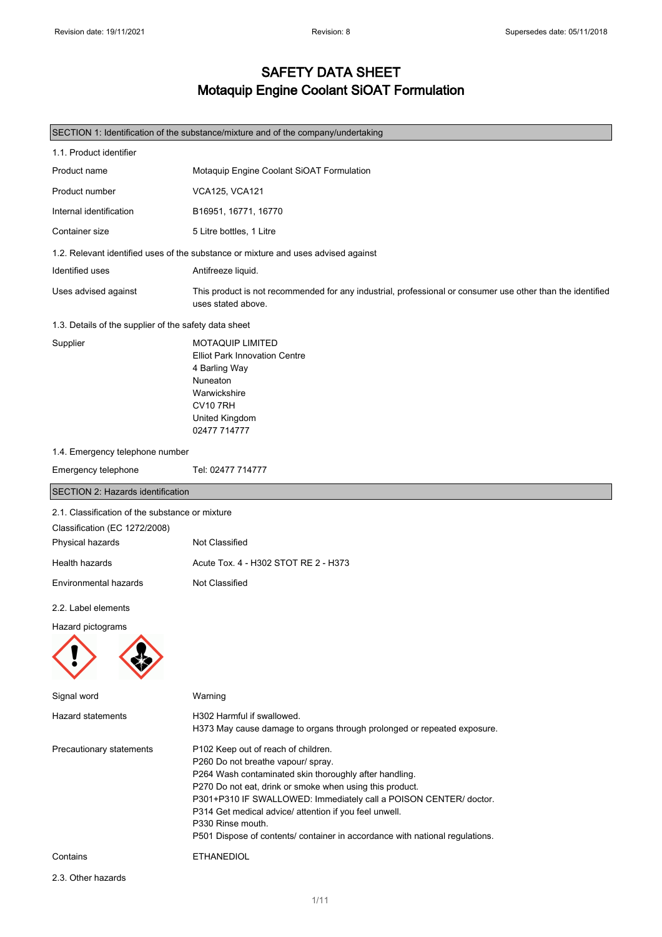2.3. Other hazards

#### SAFETY DATA SHEET Motaquip Engine Coolant SiOAT Formulation

| SECTION 1: Identification of the substance/mixture and of the company/undertaking |                                                                                                                                                                                                                                                                                                                                                                                                                                     |  |
|-----------------------------------------------------------------------------------|-------------------------------------------------------------------------------------------------------------------------------------------------------------------------------------------------------------------------------------------------------------------------------------------------------------------------------------------------------------------------------------------------------------------------------------|--|
| 1.1. Product identifier                                                           |                                                                                                                                                                                                                                                                                                                                                                                                                                     |  |
| Product name                                                                      | Motaquip Engine Coolant SiOAT Formulation                                                                                                                                                                                                                                                                                                                                                                                           |  |
| Product number                                                                    | <b>VCA125, VCA121</b>                                                                                                                                                                                                                                                                                                                                                                                                               |  |
| Internal identification                                                           | B16951, 16771, 16770                                                                                                                                                                                                                                                                                                                                                                                                                |  |
| Container size                                                                    | 5 Litre bottles, 1 Litre                                                                                                                                                                                                                                                                                                                                                                                                            |  |
|                                                                                   | 1.2. Relevant identified uses of the substance or mixture and uses advised against                                                                                                                                                                                                                                                                                                                                                  |  |
| Identified uses                                                                   | Antifreeze liquid.                                                                                                                                                                                                                                                                                                                                                                                                                  |  |
| Uses advised against                                                              | This product is not recommended for any industrial, professional or consumer use other than the identified<br>uses stated above.                                                                                                                                                                                                                                                                                                    |  |
| 1.3. Details of the supplier of the safety data sheet                             |                                                                                                                                                                                                                                                                                                                                                                                                                                     |  |
| Supplier                                                                          | <b>MOTAQUIP LIMITED</b><br><b>Elliot Park Innovation Centre</b><br>4 Barling Way<br>Nuneaton<br>Warwickshire<br><b>CV10 7RH</b><br>United Kingdom<br>02477 714777                                                                                                                                                                                                                                                                   |  |
| 1.4. Emergency telephone number                                                   |                                                                                                                                                                                                                                                                                                                                                                                                                                     |  |
| Emergency telephone                                                               | Tel: 02477 714777                                                                                                                                                                                                                                                                                                                                                                                                                   |  |
| <b>SECTION 2: Hazards identification</b>                                          |                                                                                                                                                                                                                                                                                                                                                                                                                                     |  |
| 2.1. Classification of the substance or mixture<br>Classification (EC 1272/2008)  |                                                                                                                                                                                                                                                                                                                                                                                                                                     |  |
| Physical hazards                                                                  | Not Classified                                                                                                                                                                                                                                                                                                                                                                                                                      |  |
| Health hazards                                                                    | Acute Tox. 4 - H302 STOT RE 2 - H373                                                                                                                                                                                                                                                                                                                                                                                                |  |
| Environmental hazards                                                             | Not Classified                                                                                                                                                                                                                                                                                                                                                                                                                      |  |
| 2.2. Label elements                                                               |                                                                                                                                                                                                                                                                                                                                                                                                                                     |  |
| Hazard pictograms                                                                 |                                                                                                                                                                                                                                                                                                                                                                                                                                     |  |
| Signal word                                                                       | Warning                                                                                                                                                                                                                                                                                                                                                                                                                             |  |
| Hazard statements                                                                 | H302 Harmful if swallowed.<br>H373 May cause damage to organs through prolonged or repeated exposure.                                                                                                                                                                                                                                                                                                                               |  |
| Precautionary statements                                                          | P102 Keep out of reach of children.<br>P260 Do not breathe vapour/ spray.<br>P264 Wash contaminated skin thoroughly after handling.<br>P270 Do not eat, drink or smoke when using this product.<br>P301+P310 IF SWALLOWED: Immediately call a POISON CENTER/ doctor.<br>P314 Get medical advice/ attention if you feel unwell.<br>P330 Rinse mouth.<br>P501 Dispose of contents/ container in accordance with national regulations. |  |
| Contains                                                                          | ETHANEDIOL                                                                                                                                                                                                                                                                                                                                                                                                                          |  |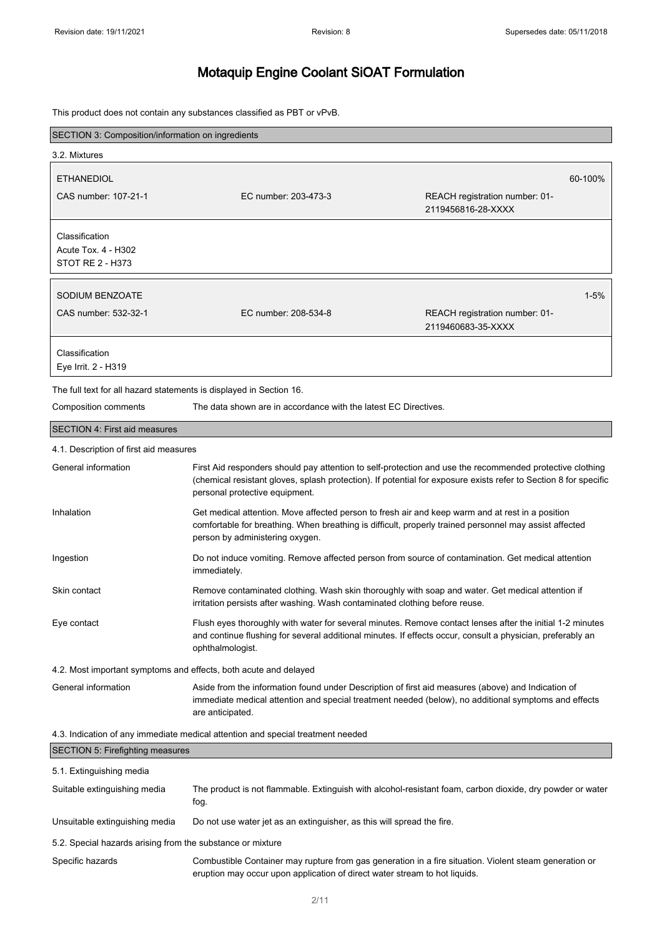This product does not contain any substances classified as PBT or vPvB.

| SECTION 3: Composition/information on ingredients                               |                                                                                                                                                                                                                                                                |                                                      |  |
|---------------------------------------------------------------------------------|----------------------------------------------------------------------------------------------------------------------------------------------------------------------------------------------------------------------------------------------------------------|------------------------------------------------------|--|
| 3.2. Mixtures                                                                   |                                                                                                                                                                                                                                                                |                                                      |  |
| <b>ETHANEDIOL</b>                                                               |                                                                                                                                                                                                                                                                | 60-100%                                              |  |
| CAS number: 107-21-1                                                            | EC number: 203-473-3                                                                                                                                                                                                                                           | REACH registration number: 01-<br>2119456816-28-XXXX |  |
| Classification<br>Acute Tox. 4 - H302<br>STOT RE 2 - H373                       |                                                                                                                                                                                                                                                                |                                                      |  |
| SODIUM BENZOATE                                                                 |                                                                                                                                                                                                                                                                | $1 - 5%$                                             |  |
| CAS number: 532-32-1                                                            | EC number: 208-534-8                                                                                                                                                                                                                                           | REACH registration number: 01-<br>2119460683-35-XXXX |  |
| Classification<br>Eye Irrit. 2 - H319                                           |                                                                                                                                                                                                                                                                |                                                      |  |
| The full text for all hazard statements is displayed in Section 16.             |                                                                                                                                                                                                                                                                |                                                      |  |
| Composition comments                                                            | The data shown are in accordance with the latest EC Directives.                                                                                                                                                                                                |                                                      |  |
| <b>SECTION 4: First aid measures</b>                                            |                                                                                                                                                                                                                                                                |                                                      |  |
| 4.1. Description of first aid measures                                          |                                                                                                                                                                                                                                                                |                                                      |  |
| General information                                                             | First Aid responders should pay attention to self-protection and use the recommended protective clothing<br>(chemical resistant gloves, splash protection). If potential for exposure exists refer to Section 8 for specific<br>personal protective equipment. |                                                      |  |
| Inhalation                                                                      | Get medical attention. Move affected person to fresh air and keep warm and at rest in a position<br>comfortable for breathing. When breathing is difficult, properly trained personnel may assist affected<br>person by administering oxygen.                  |                                                      |  |
| Ingestion                                                                       | Do not induce vomiting. Remove affected person from source of contamination. Get medical attention<br>immediately.                                                                                                                                             |                                                      |  |
| Skin contact                                                                    | Remove contaminated clothing. Wash skin thoroughly with soap and water. Get medical attention if<br>irritation persists after washing. Wash contaminated clothing before reuse.                                                                                |                                                      |  |
| Eye contact                                                                     | Flush eyes thoroughly with water for several minutes. Remove contact lenses after the initial 1-2 minutes<br>and continue flushing for several additional minutes. If effects occur, consult a physician, preferably an<br>ophthalmologist.                    |                                                      |  |
| 4.2. Most important symptoms and effects, both acute and delayed                |                                                                                                                                                                                                                                                                |                                                      |  |
| General information                                                             | Aside from the information found under Description of first aid measures (above) and Indication of<br>immediate medical attention and special treatment needed (below), no additional symptoms and effects<br>are anticipated.                                 |                                                      |  |
| 4.3. Indication of any immediate medical attention and special treatment needed |                                                                                                                                                                                                                                                                |                                                      |  |
| <b>SECTION 5: Firefighting measures</b>                                         |                                                                                                                                                                                                                                                                |                                                      |  |
| 5.1. Extinguishing media                                                        |                                                                                                                                                                                                                                                                |                                                      |  |
| Suitable extinguishing media                                                    | The product is not flammable. Extinguish with alcohol-resistant foam, carbon dioxide, dry powder or water<br>fog.                                                                                                                                              |                                                      |  |
| Unsuitable extinguishing media                                                  | Do not use water jet as an extinguisher, as this will spread the fire.                                                                                                                                                                                         |                                                      |  |
| 5.2. Special hazards arising from the substance or mixture                      |                                                                                                                                                                                                                                                                |                                                      |  |

Specific hazards **Combustible Container may rupture from gas generation in a fire situation**. Violent steam generation or eruption may occur upon application of direct water stream to hot liquids.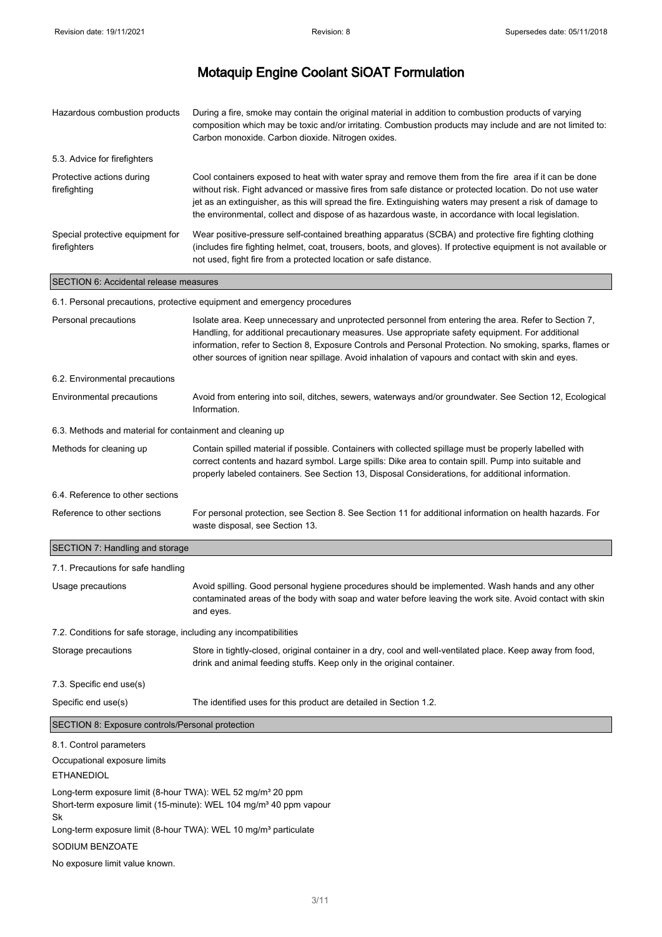| Hazardous combustion products                                                                                                                                                                                                                 | During a fire, smoke may contain the original material in addition to combustion products of varying<br>composition which may be toxic and/or irritating. Combustion products may include and are not limited to:<br>Carbon monoxide. Carbon dioxide. Nitrogen oxides.                                                                                                                                                                 |  |
|-----------------------------------------------------------------------------------------------------------------------------------------------------------------------------------------------------------------------------------------------|----------------------------------------------------------------------------------------------------------------------------------------------------------------------------------------------------------------------------------------------------------------------------------------------------------------------------------------------------------------------------------------------------------------------------------------|--|
| 5.3. Advice for firefighters                                                                                                                                                                                                                  |                                                                                                                                                                                                                                                                                                                                                                                                                                        |  |
| Protective actions during<br>firefighting                                                                                                                                                                                                     | Cool containers exposed to heat with water spray and remove them from the fire area if it can be done<br>without risk. Fight advanced or massive fires from safe distance or protected location. Do not use water<br>jet as an extinguisher, as this will spread the fire. Extinguishing waters may present a risk of damage to<br>the environmental, collect and dispose of as hazardous waste, in accordance with local legislation. |  |
| Special protective equipment for<br>firefighters                                                                                                                                                                                              | Wear positive-pressure self-contained breathing apparatus (SCBA) and protective fire fighting clothing<br>(includes fire fighting helmet, coat, trousers, boots, and gloves). If protective equipment is not available or<br>not used, fight fire from a protected location or safe distance.                                                                                                                                          |  |
| SECTION 6: Accidental release measures                                                                                                                                                                                                        |                                                                                                                                                                                                                                                                                                                                                                                                                                        |  |
|                                                                                                                                                                                                                                               | 6.1. Personal precautions, protective equipment and emergency procedures                                                                                                                                                                                                                                                                                                                                                               |  |
| Personal precautions                                                                                                                                                                                                                          | Isolate area. Keep unnecessary and unprotected personnel from entering the area. Refer to Section 7,<br>Handling, for additional precautionary measures. Use appropriate safety equipment. For additional<br>information, refer to Section 8, Exposure Controls and Personal Protection. No smoking, sparks, flames or<br>other sources of ignition near spillage. Avoid inhalation of vapours and contact with skin and eyes.         |  |
| 6.2. Environmental precautions                                                                                                                                                                                                                |                                                                                                                                                                                                                                                                                                                                                                                                                                        |  |
| Environmental precautions                                                                                                                                                                                                                     | Avoid from entering into soil, ditches, sewers, waterways and/or groundwater. See Section 12, Ecological<br>Information.                                                                                                                                                                                                                                                                                                               |  |
| 6.3. Methods and material for containment and cleaning up                                                                                                                                                                                     |                                                                                                                                                                                                                                                                                                                                                                                                                                        |  |
| Methods for cleaning up                                                                                                                                                                                                                       | Contain spilled material if possible. Containers with collected spillage must be properly labelled with<br>correct contents and hazard symbol. Large spills: Dike area to contain spill. Pump into suitable and<br>properly labeled containers. See Section 13, Disposal Considerations, for additional information.                                                                                                                   |  |
| 6.4. Reference to other sections                                                                                                                                                                                                              |                                                                                                                                                                                                                                                                                                                                                                                                                                        |  |
| Reference to other sections                                                                                                                                                                                                                   | For personal protection, see Section 8. See Section 11 for additional information on health hazards. For<br>waste disposal, see Section 13.                                                                                                                                                                                                                                                                                            |  |
| SECTION 7: Handling and storage                                                                                                                                                                                                               |                                                                                                                                                                                                                                                                                                                                                                                                                                        |  |
| 7.1. Precautions for safe handling                                                                                                                                                                                                            |                                                                                                                                                                                                                                                                                                                                                                                                                                        |  |
| Usage precautions                                                                                                                                                                                                                             | Avoid spilling. Good personal hygiene procedures should be implemented. Wash hands and any other<br>contaminated areas of the body with soap and water before leaving the work site. Avoid contact with skin<br>and eyes.                                                                                                                                                                                                              |  |
| 7.2. Conditions for safe storage, including any incompatibilities                                                                                                                                                                             |                                                                                                                                                                                                                                                                                                                                                                                                                                        |  |
| Storage precautions                                                                                                                                                                                                                           | Store in tightly-closed, original container in a dry, cool and well-ventilated place. Keep away from food,<br>drink and animal feeding stuffs. Keep only in the original container.                                                                                                                                                                                                                                                    |  |
| 7.3. Specific end use(s)                                                                                                                                                                                                                      |                                                                                                                                                                                                                                                                                                                                                                                                                                        |  |
| Specific end use(s)                                                                                                                                                                                                                           | The identified uses for this product are detailed in Section 1.2.                                                                                                                                                                                                                                                                                                                                                                      |  |
| SECTION 8: Exposure controls/Personal protection                                                                                                                                                                                              |                                                                                                                                                                                                                                                                                                                                                                                                                                        |  |
| 8.1. Control parameters                                                                                                                                                                                                                       |                                                                                                                                                                                                                                                                                                                                                                                                                                        |  |
| Occupational exposure limits<br><b>ETHANEDIOL</b>                                                                                                                                                                                             |                                                                                                                                                                                                                                                                                                                                                                                                                                        |  |
| Long-term exposure limit (8-hour TWA): WEL 52 mg/m <sup>3</sup> 20 ppm<br>Short-term exposure limit (15-minute): WEL 104 mg/m <sup>3</sup> 40 ppm vapour<br>Sk<br>Long-term exposure limit (8-hour TWA): WEL 10 mg/m <sup>3</sup> particulate |                                                                                                                                                                                                                                                                                                                                                                                                                                        |  |
| SODIUM BENZOATE                                                                                                                                                                                                                               |                                                                                                                                                                                                                                                                                                                                                                                                                                        |  |
| No exposure limit value known.                                                                                                                                                                                                                |                                                                                                                                                                                                                                                                                                                                                                                                                                        |  |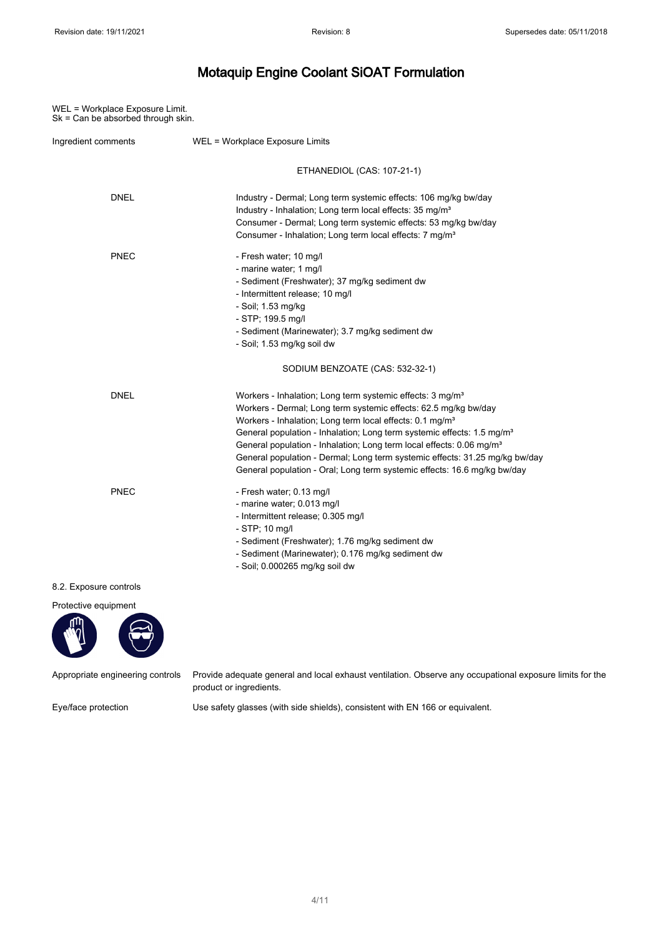WEL = Workplace Exposure Limit. Sk = Can be absorbed through skin.

| Ingredient comments    | WEL = Workplace Exposure Limits                                                                                                                                                                                                                                                                                                                                                                                                                                                                                                                       |
|------------------------|-------------------------------------------------------------------------------------------------------------------------------------------------------------------------------------------------------------------------------------------------------------------------------------------------------------------------------------------------------------------------------------------------------------------------------------------------------------------------------------------------------------------------------------------------------|
|                        | ETHANEDIOL (CAS: 107-21-1)                                                                                                                                                                                                                                                                                                                                                                                                                                                                                                                            |
| <b>DNEL</b>            | Industry - Dermal; Long term systemic effects: 106 mg/kg bw/day<br>Industry - Inhalation; Long term local effects: 35 mg/m <sup>3</sup><br>Consumer - Dermal; Long term systemic effects: 53 mg/kg bw/day<br>Consumer - Inhalation; Long term local effects: 7 mg/m <sup>3</sup>                                                                                                                                                                                                                                                                      |
| <b>PNEC</b>            | - Fresh water; 10 mg/l<br>- marine water; 1 mg/l<br>- Sediment (Freshwater); 37 mg/kg sediment dw<br>- Intermittent release; 10 mg/l<br>- Soil; 1.53 mg/kg<br>- STP; 199.5 mg/l<br>- Sediment (Marinewater); 3.7 mg/kg sediment dw<br>- Soil; 1.53 mg/kg soil dw                                                                                                                                                                                                                                                                                      |
|                        | SODIUM BENZOATE (CAS: 532-32-1)                                                                                                                                                                                                                                                                                                                                                                                                                                                                                                                       |
| <b>DNEL</b>            | Workers - Inhalation; Long term systemic effects: 3 mg/m <sup>3</sup><br>Workers - Dermal; Long term systemic effects: 62.5 mg/kg bw/day<br>Workers - Inhalation; Long term local effects: 0.1 mg/m <sup>3</sup><br>General population - Inhalation; Long term systemic effects: 1.5 mg/m <sup>3</sup><br>General population - Inhalation; Long term local effects: 0.06 mg/m <sup>3</sup><br>General population - Dermal; Long term systemic effects: 31.25 mg/kg bw/day<br>General population - Oral; Long term systemic effects: 16.6 mg/kg bw/day |
| <b>PNEC</b>            | - Fresh water; 0.13 mg/l<br>- marine water; 0.013 mg/l<br>- Intermittent release; 0.305 mg/l<br>- STP; 10 mg/l<br>- Sediment (Freshwater); 1.76 mg/kg sediment dw<br>- Sediment (Marinewater); 0.176 mg/kg sediment dw<br>- Soil; 0.000265 mg/kg soil dw                                                                                                                                                                                                                                                                                              |
| 8.2. Exposure controls |                                                                                                                                                                                                                                                                                                                                                                                                                                                                                                                                                       |
|                        |                                                                                                                                                                                                                                                                                                                                                                                                                                                                                                                                                       |



Appropriate engineering controls Provide adequate general and local exhaust ventilation. Observe any occupational exposure limits for the product or ingredients.

Eye/face protection Use safety glasses (with side shields), consistent with EN 166 or equivalent.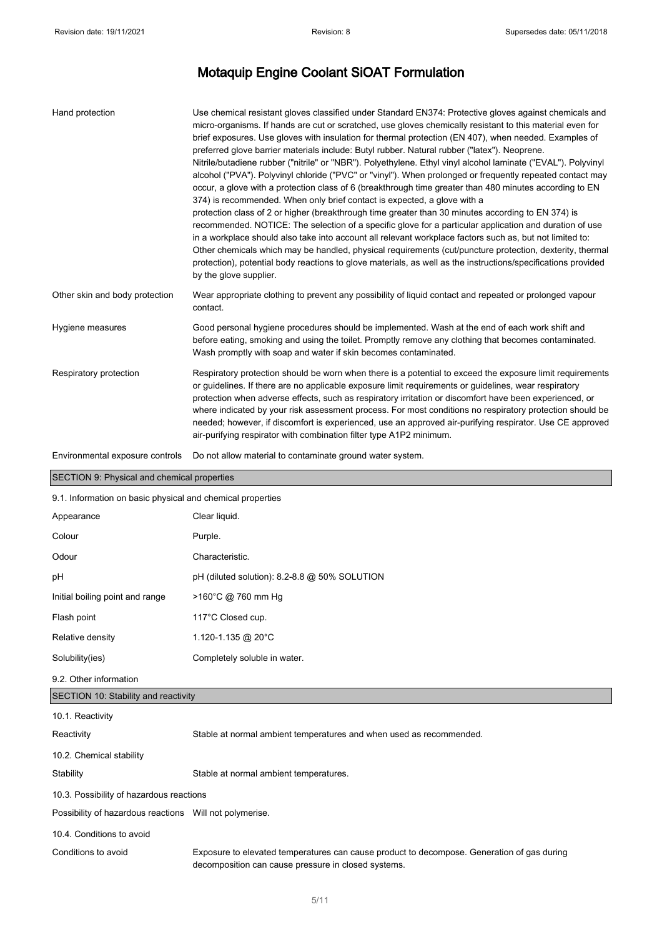| Hand protection                                            | Use chemical resistant gloves classified under Standard EN374: Protective gloves against chemicals and<br>micro-organisms. If hands are cut or scratched, use gloves chemically resistant to this material even for<br>brief exposures. Use gloves with insulation for thermal protection (EN 407), when needed. Examples of<br>preferred glove barrier materials include: Butyl rubber. Natural rubber ("latex"). Neoprene.<br>Nitrile/butadiene rubber ("nitrile" or "NBR"). Polyethylene. Ethyl vinyl alcohol laminate ("EVAL"). Polyvinyl<br>alcohol ("PVA"). Polyvinyl chloride ("PVC" or "vinyl"). When prolonged or frequently repeated contact may<br>occur, a glove with a protection class of 6 (breakthrough time greater than 480 minutes according to EN<br>374) is recommended. When only brief contact is expected, a glove with a<br>protection class of 2 or higher (breakthrough time greater than 30 minutes according to EN 374) is<br>recommended. NOTICE: The selection of a specific glove for a particular application and duration of use<br>in a workplace should also take into account all relevant workplace factors such as, but not limited to:<br>Other chemicals which may be handled, physical requirements (cut/puncture protection, dexterity, thermal<br>protection), potential body reactions to glove materials, as well as the instructions/specifications provided |  |
|------------------------------------------------------------|-------------------------------------------------------------------------------------------------------------------------------------------------------------------------------------------------------------------------------------------------------------------------------------------------------------------------------------------------------------------------------------------------------------------------------------------------------------------------------------------------------------------------------------------------------------------------------------------------------------------------------------------------------------------------------------------------------------------------------------------------------------------------------------------------------------------------------------------------------------------------------------------------------------------------------------------------------------------------------------------------------------------------------------------------------------------------------------------------------------------------------------------------------------------------------------------------------------------------------------------------------------------------------------------------------------------------------------------------------------------------------------------------------------|--|
|                                                            | by the glove supplier.                                                                                                                                                                                                                                                                                                                                                                                                                                                                                                                                                                                                                                                                                                                                                                                                                                                                                                                                                                                                                                                                                                                                                                                                                                                                                                                                                                                      |  |
| Other skin and body protection                             | Wear appropriate clothing to prevent any possibility of liquid contact and repeated or prolonged vapour<br>contact.                                                                                                                                                                                                                                                                                                                                                                                                                                                                                                                                                                                                                                                                                                                                                                                                                                                                                                                                                                                                                                                                                                                                                                                                                                                                                         |  |
| Hygiene measures                                           | Good personal hygiene procedures should be implemented. Wash at the end of each work shift and<br>before eating, smoking and using the toilet. Promptly remove any clothing that becomes contaminated.<br>Wash promptly with soap and water if skin becomes contaminated.                                                                                                                                                                                                                                                                                                                                                                                                                                                                                                                                                                                                                                                                                                                                                                                                                                                                                                                                                                                                                                                                                                                                   |  |
| Respiratory protection                                     | Respiratory protection should be worn when there is a potential to exceed the exposure limit requirements<br>or guidelines. If there are no applicable exposure limit requirements or guidelines, wear respiratory<br>protection when adverse effects, such as respiratory irritation or discomfort have been experienced, or<br>where indicated by your risk assessment process. For most conditions no respiratory protection should be<br>needed; however, if discomfort is experienced, use an approved air-purifying respirator. Use CE approved<br>air-purifying respirator with combination filter type A1P2 minimum.                                                                                                                                                                                                                                                                                                                                                                                                                                                                                                                                                                                                                                                                                                                                                                                |  |
| Environmental exposure controls                            | Do not allow material to contaminate ground water system.                                                                                                                                                                                                                                                                                                                                                                                                                                                                                                                                                                                                                                                                                                                                                                                                                                                                                                                                                                                                                                                                                                                                                                                                                                                                                                                                                   |  |
| SECTION 9: Physical and chemical properties                |                                                                                                                                                                                                                                                                                                                                                                                                                                                                                                                                                                                                                                                                                                                                                                                                                                                                                                                                                                                                                                                                                                                                                                                                                                                                                                                                                                                                             |  |
| 9.1. Information on basic physical and chemical properties |                                                                                                                                                                                                                                                                                                                                                                                                                                                                                                                                                                                                                                                                                                                                                                                                                                                                                                                                                                                                                                                                                                                                                                                                                                                                                                                                                                                                             |  |
| Appearance                                                 | Clear liquid.                                                                                                                                                                                                                                                                                                                                                                                                                                                                                                                                                                                                                                                                                                                                                                                                                                                                                                                                                                                                                                                                                                                                                                                                                                                                                                                                                                                               |  |
| Colour                                                     | Purple.                                                                                                                                                                                                                                                                                                                                                                                                                                                                                                                                                                                                                                                                                                                                                                                                                                                                                                                                                                                                                                                                                                                                                                                                                                                                                                                                                                                                     |  |
| Odour                                                      | Characteristic.                                                                                                                                                                                                                                                                                                                                                                                                                                                                                                                                                                                                                                                                                                                                                                                                                                                                                                                                                                                                                                                                                                                                                                                                                                                                                                                                                                                             |  |

|                                 | ----------------                              |
|---------------------------------|-----------------------------------------------|
| рH                              | pH (diluted solution): 8.2-8.8 @ 50% SOLUTION |
| Initial boiling point and range | $>160^{\circ}$ C @ 760 mm Hg                  |
| Flash point                     | 117°C Closed cup.                             |
| Relative density                | 1.120-1.135 @ 20°C                            |
| Solubility(ies)                 | Completely soluble in water.                  |

9.2. Other information

#### SECTION 10: Stability and reactivity

| 10.1. Reactivity                                        |                                                                                                                                                   |  |
|---------------------------------------------------------|---------------------------------------------------------------------------------------------------------------------------------------------------|--|
| Reactivity                                              | Stable at normal ambient temperatures and when used as recommended.                                                                               |  |
| 10.2. Chemical stability                                |                                                                                                                                                   |  |
| Stability                                               | Stable at normal ambient temperatures.                                                                                                            |  |
| 10.3. Possibility of hazardous reactions                |                                                                                                                                                   |  |
| Possibility of hazardous reactions Will not polymerise. |                                                                                                                                                   |  |
| 10.4. Conditions to avoid                               |                                                                                                                                                   |  |
| Conditions to avoid                                     | Exposure to elevated temperatures can cause product to decompose. Generation of gas during<br>decomposition can cause pressure in closed systems. |  |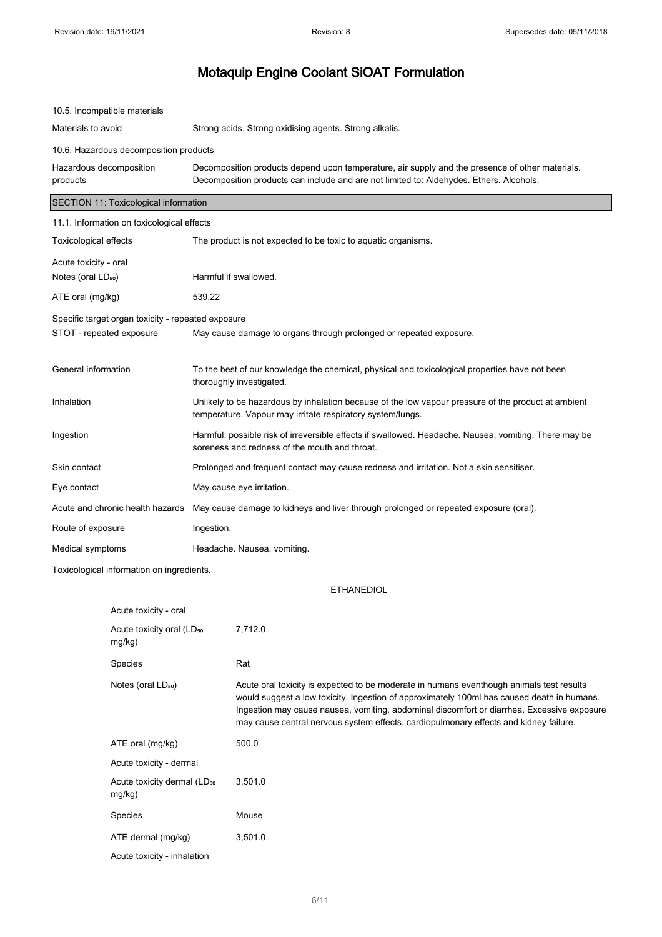| 10.5. Incompatible materials                       |                                                                                                                                                                                            |  |
|----------------------------------------------------|--------------------------------------------------------------------------------------------------------------------------------------------------------------------------------------------|--|
| Materials to avoid                                 | Strong acids. Strong oxidising agents. Strong alkalis.                                                                                                                                     |  |
| 10.6. Hazardous decomposition products             |                                                                                                                                                                                            |  |
| Hazardous decomposition<br>products                | Decomposition products depend upon temperature, air supply and the presence of other materials.<br>Decomposition products can include and are not limited to: Aldehydes. Ethers. Alcohols. |  |
| SECTION 11: Toxicological information              |                                                                                                                                                                                            |  |
| 11.1. Information on toxicological effects         |                                                                                                                                                                                            |  |
| <b>Toxicological effects</b>                       | The product is not expected to be toxic to aquatic organisms.                                                                                                                              |  |
| Acute toxicity - oral                              |                                                                                                                                                                                            |  |
| Notes (oral LD <sub>50</sub> )                     | Harmful if swallowed.                                                                                                                                                                      |  |
| ATE oral (mg/kg)                                   | 539.22                                                                                                                                                                                     |  |
| Specific target organ toxicity - repeated exposure |                                                                                                                                                                                            |  |
| STOT - repeated exposure                           | May cause damage to organs through prolonged or repeated exposure.                                                                                                                         |  |
|                                                    |                                                                                                                                                                                            |  |
| General information                                | To the best of our knowledge the chemical, physical and toxicological properties have not been<br>thoroughly investigated.                                                                 |  |
| Inhalation                                         | Unlikely to be hazardous by inhalation because of the low vapour pressure of the product at ambient<br>temperature. Vapour may irritate respiratory system/lungs.                          |  |
| Ingestion                                          | Harmful: possible risk of irreversible effects if swallowed. Headache. Nausea, vomiting. There may be<br>soreness and redness of the mouth and throat.                                     |  |
| Skin contact                                       | Prolonged and frequent contact may cause redness and irritation. Not a skin sensitiser.                                                                                                    |  |
| Eye contact                                        | May cause eye irritation.                                                                                                                                                                  |  |
| Acute and chronic health hazards                   | May cause damage to kidneys and liver through prolonged or repeated exposure (oral).                                                                                                       |  |
| Route of exposure                                  | Ingestion.                                                                                                                                                                                 |  |
| Medical symptoms                                   | Headache. Nausea, vomiting.                                                                                                                                                                |  |
| Toxicological information on ingredients.          |                                                                                                                                                                                            |  |
|                                                    | <b>ETHANEDIOL</b>                                                                                                                                                                          |  |
| امعم ببانمان بملابيم ا                             |                                                                                                                                                                                            |  |

| Acute toxicity - oral                             |                                                                                                                                                                                                                                                                                                                                                                               |
|---------------------------------------------------|-------------------------------------------------------------------------------------------------------------------------------------------------------------------------------------------------------------------------------------------------------------------------------------------------------------------------------------------------------------------------------|
| Acute toxicity oral (LD <sub>50</sub><br>mg/kg)   | 7,712.0                                                                                                                                                                                                                                                                                                                                                                       |
| Species                                           | Rat                                                                                                                                                                                                                                                                                                                                                                           |
| Notes (oral LD <sub>50</sub> )                    | Acute oral toxicity is expected to be moderate in humans eventhough animals test results<br>would suggest a low toxicity. Ingestion of approximately 100ml has caused death in humans.<br>Ingestion may cause nausea, vomiting, abdominal discomfort or diarrhea. Excessive exposure<br>may cause central nervous system effects, cardiopulmonary effects and kidney failure. |
| ATE oral (mg/kg)                                  | 500.0                                                                                                                                                                                                                                                                                                                                                                         |
| Acute toxicity - dermal                           |                                                                                                                                                                                                                                                                                                                                                                               |
| Acute toxicity dermal (LD <sub>50</sub><br>mg/kg) | 3,501.0                                                                                                                                                                                                                                                                                                                                                                       |
| Species                                           | Mouse                                                                                                                                                                                                                                                                                                                                                                         |
| ATE dermal (mg/kg)                                | 3,501.0                                                                                                                                                                                                                                                                                                                                                                       |
| Acute toxicity - inhalation                       |                                                                                                                                                                                                                                                                                                                                                                               |
|                                                   |                                                                                                                                                                                                                                                                                                                                                                               |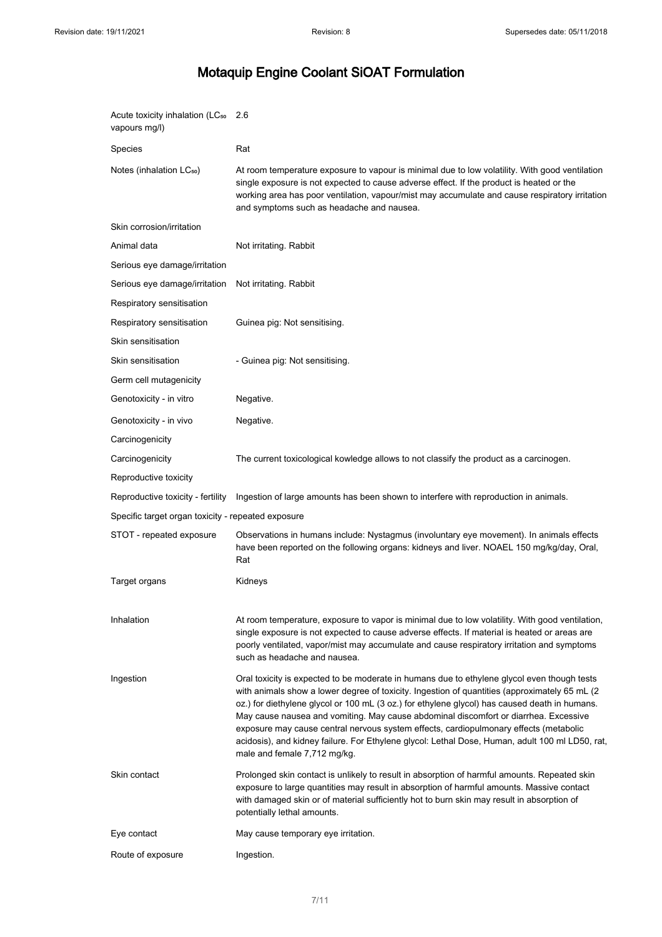| Acute toxicity inhalation (LC <sub>50</sub><br>vapours mg/l) | 2.6                                                                                                                                                                                                                                                                                                                                                                                                                                                                                                                                                                                                                |
|--------------------------------------------------------------|--------------------------------------------------------------------------------------------------------------------------------------------------------------------------------------------------------------------------------------------------------------------------------------------------------------------------------------------------------------------------------------------------------------------------------------------------------------------------------------------------------------------------------------------------------------------------------------------------------------------|
| Species                                                      | Rat                                                                                                                                                                                                                                                                                                                                                                                                                                                                                                                                                                                                                |
| Notes (inhalation LC <sub>50</sub> )                         | At room temperature exposure to vapour is minimal due to low volatility. With good ventilation<br>single exposure is not expected to cause adverse effect. If the product is heated or the<br>working area has poor ventilation, vapour/mist may accumulate and cause respiratory irritation<br>and symptoms such as headache and nausea.                                                                                                                                                                                                                                                                          |
| Skin corrosion/irritation                                    |                                                                                                                                                                                                                                                                                                                                                                                                                                                                                                                                                                                                                    |
| Animal data                                                  | Not irritating. Rabbit                                                                                                                                                                                                                                                                                                                                                                                                                                                                                                                                                                                             |
| Serious eye damage/irritation                                |                                                                                                                                                                                                                                                                                                                                                                                                                                                                                                                                                                                                                    |
| Serious eye damage/irritation                                | Not irritating. Rabbit                                                                                                                                                                                                                                                                                                                                                                                                                                                                                                                                                                                             |
| Respiratory sensitisation                                    |                                                                                                                                                                                                                                                                                                                                                                                                                                                                                                                                                                                                                    |
| Respiratory sensitisation                                    | Guinea pig: Not sensitising.                                                                                                                                                                                                                                                                                                                                                                                                                                                                                                                                                                                       |
| Skin sensitisation                                           |                                                                                                                                                                                                                                                                                                                                                                                                                                                                                                                                                                                                                    |
| Skin sensitisation                                           | - Guinea pig: Not sensitising.                                                                                                                                                                                                                                                                                                                                                                                                                                                                                                                                                                                     |
| Germ cell mutagenicity                                       |                                                                                                                                                                                                                                                                                                                                                                                                                                                                                                                                                                                                                    |
| Genotoxicity - in vitro                                      | Negative.                                                                                                                                                                                                                                                                                                                                                                                                                                                                                                                                                                                                          |
| Genotoxicity - in vivo                                       | Negative.                                                                                                                                                                                                                                                                                                                                                                                                                                                                                                                                                                                                          |
| Carcinogenicity                                              |                                                                                                                                                                                                                                                                                                                                                                                                                                                                                                                                                                                                                    |
| Carcinogenicity                                              | The current toxicological kowledge allows to not classify the product as a carcinogen.                                                                                                                                                                                                                                                                                                                                                                                                                                                                                                                             |
| Reproductive toxicity                                        |                                                                                                                                                                                                                                                                                                                                                                                                                                                                                                                                                                                                                    |
|                                                              |                                                                                                                                                                                                                                                                                                                                                                                                                                                                                                                                                                                                                    |
| Reproductive toxicity - fertility                            | Ingestion of large amounts has been shown to interfere with reproduction in animals.                                                                                                                                                                                                                                                                                                                                                                                                                                                                                                                               |
| Specific target organ toxicity - repeated exposure           |                                                                                                                                                                                                                                                                                                                                                                                                                                                                                                                                                                                                                    |
| STOT - repeated exposure                                     | Observations in humans include: Nystagmus (involuntary eye movement). In animals effects<br>have been reported on the following organs: kidneys and liver. NOAEL 150 mg/kg/day, Oral,<br>Rat                                                                                                                                                                                                                                                                                                                                                                                                                       |
| Target organs                                                | Kidneys                                                                                                                                                                                                                                                                                                                                                                                                                                                                                                                                                                                                            |
|                                                              |                                                                                                                                                                                                                                                                                                                                                                                                                                                                                                                                                                                                                    |
| Inhalation                                                   | At room temperature, exposure to vapor is minimal due to low volatility. With good ventilation,<br>single exposure is not expected to cause adverse effects. If material is heated or areas are<br>poorly ventilated, vapor/mist may accumulate and cause respiratory irritation and symptoms<br>such as headache and nausea.                                                                                                                                                                                                                                                                                      |
| Ingestion                                                    | Oral toxicity is expected to be moderate in humans due to ethylene glycol even though tests<br>with animals show a lower degree of toxicity. Ingestion of quantities (approximately 65 mL (2)<br>oz.) for diethylene glycol or 100 mL (3 oz.) for ethylene glycol) has caused death in humans.<br>May cause nausea and vomiting. May cause abdominal discomfort or diarrhea. Excessive<br>exposure may cause central nervous system effects, cardiopulmonary effects (metabolic<br>acidosis), and kidney failure. For Ethylene glycol: Lethal Dose, Human, adult 100 ml LD50, rat,<br>male and female 7,712 mg/kg. |
| Skin contact                                                 | Prolonged skin contact is unlikely to result in absorption of harmful amounts. Repeated skin<br>exposure to large quantities may result in absorption of harmful amounts. Massive contact<br>with damaged skin or of material sufficiently hot to burn skin may result in absorption of<br>potentially lethal amounts.                                                                                                                                                                                                                                                                                             |
| Eye contact                                                  | May cause temporary eye irritation.                                                                                                                                                                                                                                                                                                                                                                                                                                                                                                                                                                                |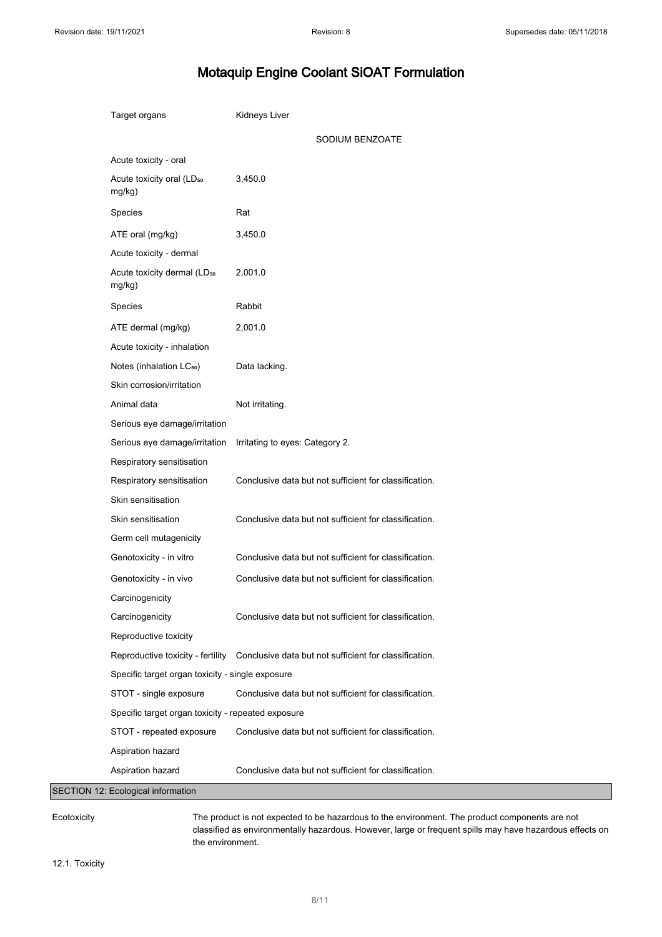| Target organs                                      | Kidneys Liver                                                                            |
|----------------------------------------------------|------------------------------------------------------------------------------------------|
|                                                    | SODIUM BENZOATE                                                                          |
| Acute toxicity - oral                              |                                                                                          |
| Acute toxicity oral (LD <sub>50</sub><br>mg/kg)    | 3,450.0                                                                                  |
| Species                                            | Rat                                                                                      |
| ATE oral (mg/kg)                                   | 3,450.0                                                                                  |
| Acute toxicity - dermal                            |                                                                                          |
| Acute toxicity dermal (LD <sub>50</sub><br>mg/kg)  | 2,001.0                                                                                  |
| Species                                            | Rabbit                                                                                   |
| ATE dermal (mg/kg)                                 | 2,001.0                                                                                  |
| Acute toxicity - inhalation                        |                                                                                          |
| Notes (inhalation LC <sub>50</sub> )               | Data lacking.                                                                            |
| Skin corrosion/irritation                          |                                                                                          |
| Animal data                                        | Not irritating.                                                                          |
| Serious eye damage/irritation                      |                                                                                          |
| Serious eye damage/irritation                      | Irritating to eyes: Category 2.                                                          |
| Respiratory sensitisation                          |                                                                                          |
| Respiratory sensitisation                          | Conclusive data but not sufficient for classification.                                   |
| Skin sensitisation                                 |                                                                                          |
| Skin sensitisation                                 | Conclusive data but not sufficient for classification.                                   |
| Germ cell mutagenicity                             |                                                                                          |
| Genotoxicity - in vitro                            | Conclusive data but not sufficient for classification.                                   |
| Genotoxicity - in vivo                             | Conclusive data but not sufficient for classification.                                   |
| Carcinogenicity                                    |                                                                                          |
| Carcinogenicity                                    | Conclusive data but not sufficient for classification.                                   |
| Reproductive toxicity                              |                                                                                          |
|                                                    | Reproductive toxicity - fertility Conclusive data but not sufficient for classification. |
| Specific target organ toxicity - single exposure   |                                                                                          |
| STOT - single exposure                             | Conclusive data but not sufficient for classification.                                   |
| Specific target organ toxicity - repeated exposure |                                                                                          |
| STOT - repeated exposure                           | Conclusive data but not sufficient for classification.                                   |
| Aspiration hazard                                  |                                                                                          |
| Aspiration hazard                                  | Conclusive data but not sufficient for classification.                                   |
| SECTION 12: Ecological information                 |                                                                                          |

Ecotoxicity The product is not expected to be hazardous to the environment. The product components are not classified as environmentally hazardous. However, large or frequent spills may have hazardous effects on the environment.

12.1. Toxicity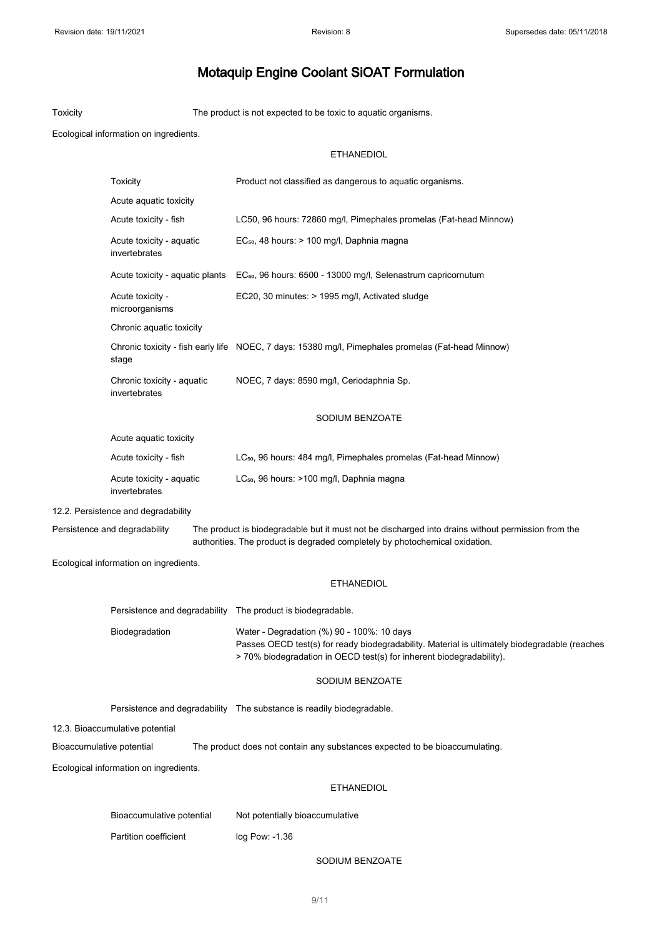Toxicity The product is not expected to be toxic to aquatic organisms.

Ecological information on ingredients.

#### ETHANEDIOL

|                                 | Toxicity                                                                                                                                                                                                           | Product not classified as dangerous to aquatic organisms.                                                                                                                                                           |  |
|---------------------------------|--------------------------------------------------------------------------------------------------------------------------------------------------------------------------------------------------------------------|---------------------------------------------------------------------------------------------------------------------------------------------------------------------------------------------------------------------|--|
|                                 | Acute aquatic toxicity                                                                                                                                                                                             |                                                                                                                                                                                                                     |  |
|                                 | Acute toxicity - fish                                                                                                                                                                                              | LC50, 96 hours: 72860 mg/l, Pimephales promelas (Fat-head Minnow)                                                                                                                                                   |  |
|                                 | Acute toxicity - aquatic<br>invertebrates                                                                                                                                                                          | EC <sub>50</sub> , 48 hours: > 100 mg/l, Daphnia magna                                                                                                                                                              |  |
|                                 | Acute toxicity - aquatic plants                                                                                                                                                                                    | EC <sub>50</sub> , 96 hours: 6500 - 13000 mg/l, Selenastrum capricornutum                                                                                                                                           |  |
|                                 | Acute toxicity -<br>microorganisms                                                                                                                                                                                 | EC20, 30 minutes: > 1995 mg/l, Activated sludge                                                                                                                                                                     |  |
|                                 | Chronic aquatic toxicity                                                                                                                                                                                           |                                                                                                                                                                                                                     |  |
|                                 | stage                                                                                                                                                                                                              | Chronic toxicity - fish early life NOEC, 7 days: 15380 mg/l, Pimephales promelas (Fat-head Minnow)                                                                                                                  |  |
|                                 | Chronic toxicity - aquatic<br>invertebrates                                                                                                                                                                        | NOEC, 7 days: 8590 mg/l, Ceriodaphnia Sp.                                                                                                                                                                           |  |
|                                 |                                                                                                                                                                                                                    | SODIUM BENZOATE                                                                                                                                                                                                     |  |
|                                 | Acute aquatic toxicity                                                                                                                                                                                             |                                                                                                                                                                                                                     |  |
|                                 | Acute toxicity - fish                                                                                                                                                                                              | LC <sub>50</sub> , 96 hours: 484 mg/l, Pimephales promelas (Fat-head Minnow)                                                                                                                                        |  |
|                                 | Acute toxicity - aquatic<br>invertebrates                                                                                                                                                                          | LC <sub>50</sub> , 96 hours: >100 mg/l, Daphnia magna                                                                                                                                                               |  |
|                                 | 12.2. Persistence and degradability                                                                                                                                                                                |                                                                                                                                                                                                                     |  |
|                                 | The product is biodegradable but it must not be discharged into drains without permission from the<br>Persistence and degradability<br>authorities. The product is degraded completely by photochemical oxidation. |                                                                                                                                                                                                                     |  |
|                                 | Ecological information on ingredients.                                                                                                                                                                             |                                                                                                                                                                                                                     |  |
|                                 |                                                                                                                                                                                                                    | <b>ETHANEDIOL</b>                                                                                                                                                                                                   |  |
|                                 |                                                                                                                                                                                                                    | Persistence and degradability The product is biodegradable.                                                                                                                                                         |  |
|                                 | Biodegradation                                                                                                                                                                                                     | Water - Degradation (%) 90 - 100%: 10 days<br>Passes OECD test(s) for ready biodegradability. Material is ultimately biodegradable (reaches<br>> 70% biodegradation in OECD test(s) for inherent biodegradability). |  |
|                                 |                                                                                                                                                                                                                    | SODIUM BENZOATE                                                                                                                                                                                                     |  |
|                                 |                                                                                                                                                                                                                    | Persistence and degradability  The substance is readily biodegradable.                                                                                                                                              |  |
| 12.3. Bioaccumulative potential |                                                                                                                                                                                                                    |                                                                                                                                                                                                                     |  |
|                                 | Bioaccumulative potential<br>The product does not contain any substances expected to be bioaccumulating.                                                                                                           |                                                                                                                                                                                                                     |  |
|                                 | Ecological information on ingredients.                                                                                                                                                                             |                                                                                                                                                                                                                     |  |
|                                 |                                                                                                                                                                                                                    | <b>ETHANEDIOL</b>                                                                                                                                                                                                   |  |
|                                 | Bioaccumulative potential                                                                                                                                                                                          | Not potentially bioaccumulative                                                                                                                                                                                     |  |
|                                 | Partition coefficient                                                                                                                                                                                              | log Pow: -1.36                                                                                                                                                                                                      |  |

SODIUM BENZOATE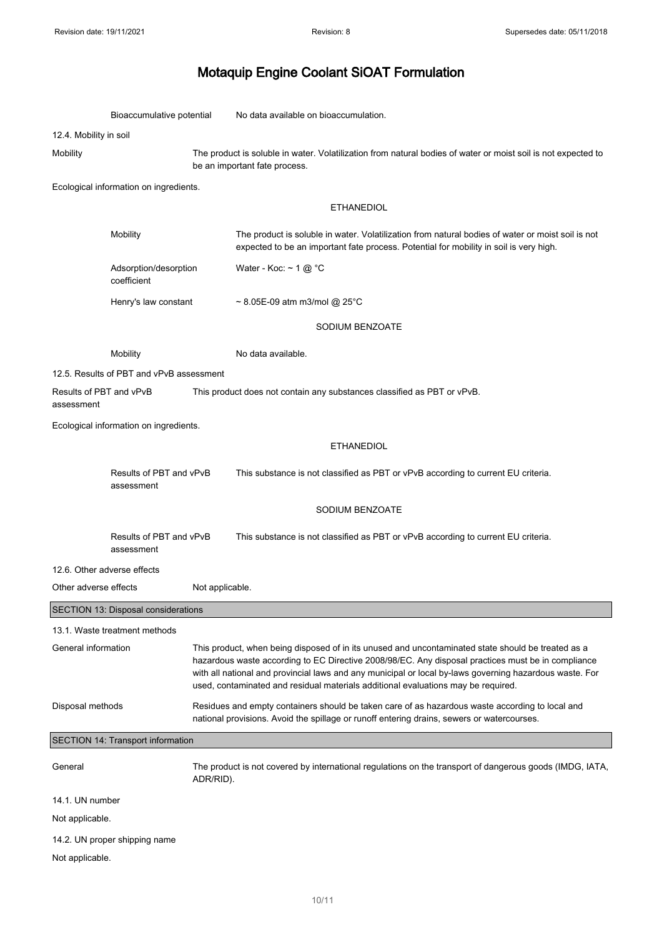|                                       | Bioaccumulative potential                                                                                                                      |                                                                                                                                                                                                                                                                                                                                                                                                          | No data available on bioaccumulation.                                                                                                                                                       |  |  |
|---------------------------------------|------------------------------------------------------------------------------------------------------------------------------------------------|----------------------------------------------------------------------------------------------------------------------------------------------------------------------------------------------------------------------------------------------------------------------------------------------------------------------------------------------------------------------------------------------------------|---------------------------------------------------------------------------------------------------------------------------------------------------------------------------------------------|--|--|
| 12.4. Mobility in soil                |                                                                                                                                                |                                                                                                                                                                                                                                                                                                                                                                                                          |                                                                                                                                                                                             |  |  |
| Mobility                              | The product is soluble in water. Volatilization from natural bodies of water or moist soil is not expected to<br>be an important fate process. |                                                                                                                                                                                                                                                                                                                                                                                                          |                                                                                                                                                                                             |  |  |
|                                       | Ecological information on ingredients.                                                                                                         |                                                                                                                                                                                                                                                                                                                                                                                                          |                                                                                                                                                                                             |  |  |
|                                       |                                                                                                                                                |                                                                                                                                                                                                                                                                                                                                                                                                          | <b>ETHANEDIOL</b>                                                                                                                                                                           |  |  |
|                                       | Mobility                                                                                                                                       |                                                                                                                                                                                                                                                                                                                                                                                                          | The product is soluble in water. Volatilization from natural bodies of water or moist soil is not<br>expected to be an important fate process. Potential for mobility in soil is very high. |  |  |
|                                       | Adsorption/desorption<br>coefficient                                                                                                           |                                                                                                                                                                                                                                                                                                                                                                                                          | Water - Koc: $\sim$ 1 @ °C                                                                                                                                                                  |  |  |
|                                       | Henry's law constant                                                                                                                           |                                                                                                                                                                                                                                                                                                                                                                                                          | $\sim$ 8.05E-09 atm m3/mol @ 25°C                                                                                                                                                           |  |  |
|                                       |                                                                                                                                                |                                                                                                                                                                                                                                                                                                                                                                                                          | SODIUM BENZOATE                                                                                                                                                                             |  |  |
|                                       | Mobility                                                                                                                                       |                                                                                                                                                                                                                                                                                                                                                                                                          | No data available.                                                                                                                                                                          |  |  |
|                                       | 12.5. Results of PBT and vPvB assessment                                                                                                       |                                                                                                                                                                                                                                                                                                                                                                                                          |                                                                                                                                                                                             |  |  |
| Results of PBT and vPvB<br>assessment |                                                                                                                                                |                                                                                                                                                                                                                                                                                                                                                                                                          | This product does not contain any substances classified as PBT or vPvB.                                                                                                                     |  |  |
|                                       | Ecological information on ingredients.                                                                                                         |                                                                                                                                                                                                                                                                                                                                                                                                          |                                                                                                                                                                                             |  |  |
|                                       |                                                                                                                                                |                                                                                                                                                                                                                                                                                                                                                                                                          | <b>ETHANEDIOL</b>                                                                                                                                                                           |  |  |
| Results of PBT and vPvB<br>assessment |                                                                                                                                                |                                                                                                                                                                                                                                                                                                                                                                                                          | This substance is not classified as PBT or vPvB according to current EU criteria.                                                                                                           |  |  |
|                                       |                                                                                                                                                |                                                                                                                                                                                                                                                                                                                                                                                                          | SODIUM BENZOATE                                                                                                                                                                             |  |  |
|                                       | Results of PBT and vPvB<br>assessment                                                                                                          |                                                                                                                                                                                                                                                                                                                                                                                                          | This substance is not classified as PBT or vPvB according to current EU criteria.                                                                                                           |  |  |
| 12.6. Other adverse effects           |                                                                                                                                                |                                                                                                                                                                                                                                                                                                                                                                                                          |                                                                                                                                                                                             |  |  |
| Other adverse effects                 |                                                                                                                                                | Not applicable.                                                                                                                                                                                                                                                                                                                                                                                          |                                                                                                                                                                                             |  |  |
|                                       | SECTION 13: Disposal considerations                                                                                                            |                                                                                                                                                                                                                                                                                                                                                                                                          |                                                                                                                                                                                             |  |  |
|                                       | 13.1. Waste treatment methods                                                                                                                  |                                                                                                                                                                                                                                                                                                                                                                                                          |                                                                                                                                                                                             |  |  |
| General information                   |                                                                                                                                                | This product, when being disposed of in its unused and uncontaminated state should be treated as a<br>hazardous waste according to EC Directive 2008/98/EC. Any disposal practices must be in compliance<br>with all national and provincial laws and any municipal or local by-laws governing hazardous waste. For<br>used, contaminated and residual materials additional evaluations may be required. |                                                                                                                                                                                             |  |  |
| Disposal methods                      |                                                                                                                                                | Residues and empty containers should be taken care of as hazardous waste according to local and<br>national provisions. Avoid the spillage or runoff entering drains, sewers or watercourses.                                                                                                                                                                                                            |                                                                                                                                                                                             |  |  |
|                                       | SECTION 14: Transport information                                                                                                              |                                                                                                                                                                                                                                                                                                                                                                                                          |                                                                                                                                                                                             |  |  |
| General                               |                                                                                                                                                | ADR/RID).                                                                                                                                                                                                                                                                                                                                                                                                | The product is not covered by international regulations on the transport of dangerous goods (IMDG, IATA,                                                                                    |  |  |
| 14.1. UN number                       |                                                                                                                                                |                                                                                                                                                                                                                                                                                                                                                                                                          |                                                                                                                                                                                             |  |  |
| Not applicable.                       |                                                                                                                                                |                                                                                                                                                                                                                                                                                                                                                                                                          |                                                                                                                                                                                             |  |  |
|                                       | 14.2. UN proper shipping name                                                                                                                  |                                                                                                                                                                                                                                                                                                                                                                                                          |                                                                                                                                                                                             |  |  |
| Not applicable.                       |                                                                                                                                                |                                                                                                                                                                                                                                                                                                                                                                                                          |                                                                                                                                                                                             |  |  |